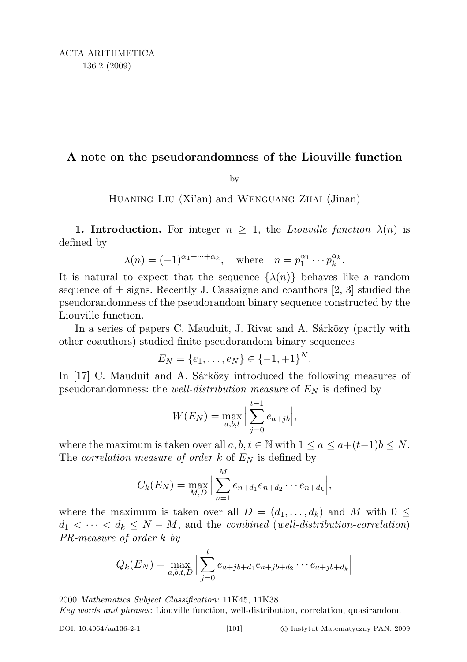## A note on the pseudorandomness of the Liouville function

by

Huaning Liu (Xi'an) and Wenguang Zhai (Jinan)

**1. Introduction.** For integer  $n \geq 1$ , the *Liouville function*  $\lambda(n)$  is defined by

$$
\lambda(n) = (-1)^{\alpha_1 + \dots + \alpha_k}
$$
, where  $n = p_1^{\alpha_1} \dots p_k^{\alpha_k}$ .

It is natural to expect that the sequence  $\{\lambda(n)\}\$  behaves like a random sequence of  $\pm$  signs. Recently J. Cassaigne and coauthors [2, 3] studied the pseudorandomness of the pseudorandom binary sequence constructed by the Liouville function.

In a series of papers C. Mauduit, J. Rivat and A. Sárközy (partly with other coauthors) studied finite pseudorandom binary sequences

$$
E_N = \{e_1, \ldots, e_N\} \in \{-1, +1\}^N.
$$

In [17] C. Mauduit and A. Sárközy introduced the following measures of pseudorandomness: the *well-distribution measure* of  $E<sub>N</sub>$  is defined by

$$
W(E_N) = \max_{a,b,t} \Big| \sum_{j=0}^{t-1} e_{a+jb} \Big|,
$$

where the maximum is taken over all  $a, b, t \in \mathbb{N}$  with  $1 \le a \le a+(t-1)b \le N$ . The correlation measure of order  $k$  of  $E_N$  is defined by

$$
C_k(E_N) = \max_{M,D} \Big| \sum_{n=1}^M e_{n+d_1} e_{n+d_2} \cdots e_{n+d_k} \Big|,
$$

where the maximum is taken over all  $D = (d_1, \ldots, d_k)$  and M with  $0 \leq$  $d_1 < \cdots < d_k \leq N - M$ , and the combined (well-distribution-correlation) PR-measure of order k by

$$
Q_k(E_N) = \max_{a,b,t,D} \Big| \sum_{j=0}^{t} e_{a+jb+d_1} e_{a+jb+d_2} \cdots e_{a+jb+d_k} \Big|
$$

2000 Mathematics Subject Classification: 11K45, 11K38.

Key words and phrases: Liouville function, well-distribution, correlation, quasirandom.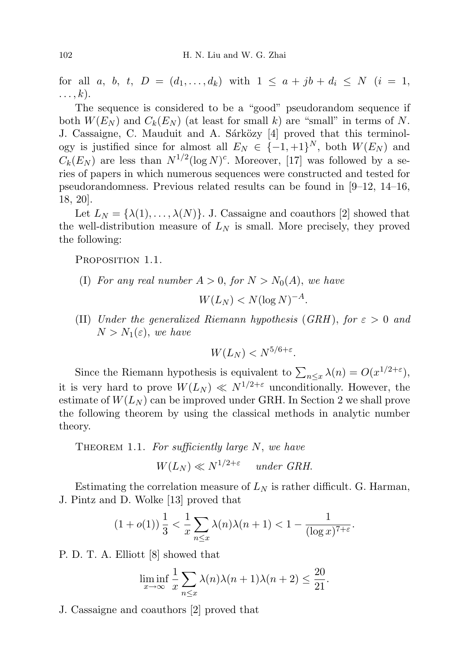for all a, b, t,  $D = (d_1, ..., d_k)$  with  $1 \le a + jb + d_i \le N$   $(i = 1,$  $\ldots, k$ ).

The sequence is considered to be a "good" pseudorandom sequence if both  $W(E_N)$  and  $C_k(E_N)$  (at least for small k) are "small" in terms of N. J. Cassaigne, C. Mauduit and A. Sárközy [4] proved that this terminology is justified since for almost all  $E_N \in \{-1, +1\}^N$ , both  $W(E_N)$  and  $C_k(E_N)$  are less than  $N^{1/2}(\log N)^c$ . Moreover, [17] was followed by a series of papers in which numerous sequences were constructed and tested for pseudorandomness. Previous related results can be found in [9–12, 14–16, 18, 20].

Let  $L_N = {\lambda(1), \ldots, \lambda(N)}$ . J. Cassaigne and coauthors [2] showed that the well-distribution measure of  $L_N$  is small. More precisely, they proved the following:

PROPOSITION 1.1.

(I) For any real number  $A > 0$ , for  $N > N_0(A)$ , we have

$$
W(L_N) < N(\log N)^{-A}.
$$

(II) Under the generalized Riemann hypothesis (GRH), for  $\varepsilon > 0$  and  $N > N_1(\varepsilon)$ , we have

$$
W(L_N) < N^{5/6 + \varepsilon}.
$$

Since the Riemann hypothesis is equivalent to  $\sum_{n \leq x} \lambda(n) = O(x^{1/2+\epsilon}),$ it is very hard to prove  $W(L_N) \ll N^{1/2+\epsilon}$  unconditionally. However, the estimate of  $W(L_N)$  can be improved under GRH. In Section 2 we shall prove the following theorem by using the classical methods in analytic number theory.

THEOREM 1.1. For sufficiently large  $N$ , we have

 $W(L_N) \ll N^{1/2+\varepsilon}$  under GRH.

Estimating the correlation measure of  $L<sub>N</sub>$  is rather difficult. G. Harman, J. Pintz and D. Wolke [13] proved that

$$
(1+o(1))\frac{1}{3}<\frac{1}{x}\sum_{n\leq x}\lambda(n)\lambda(n+1)<1-\frac{1}{(\log x)^{7+\varepsilon}}.
$$

P. D. T. A. Elliott [8] showed that

$$
\liminf_{x \to \infty} \frac{1}{x} \sum_{n \le x} \lambda(n)\lambda(n+1)\lambda(n+2) \le \frac{20}{21}.
$$

J. Cassaigne and coauthors [2] proved that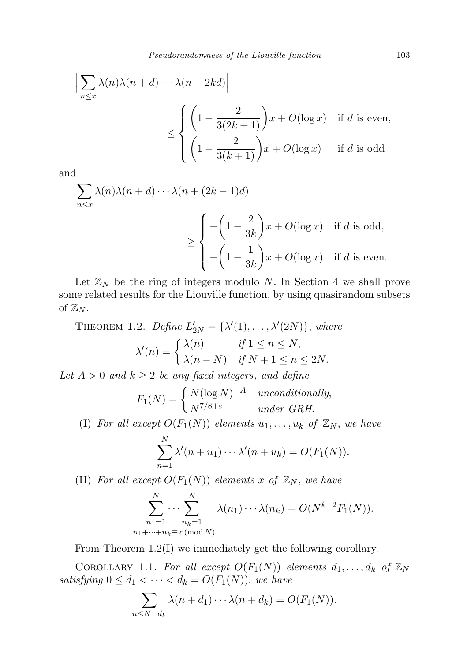$$
\left| \sum_{n \le x} \lambda(n) \lambda(n+d) \cdots \lambda(n+2kd) \right|
$$
  

$$
\le \begin{cases} \left(1 - \frac{2}{3(2k+1)}\right)x + O(\log x) & \text{if } d \text{ is even,} \\ \left(1 - \frac{2}{3(k+1)}\right)x + O(\log x) & \text{if } d \text{ is odd} \end{cases}
$$

and

$$
\sum_{n \le x} \lambda(n)\lambda(n+d) \cdots \lambda(n+(2k-1)d)
$$
\n
$$
\ge \begin{cases}\n- \left(1 - \frac{2}{3k}\right)x + O(\log x) & \text{if } d \text{ is odd,} \\
-\left(1 - \frac{1}{3k}\right)x + O(\log x) & \text{if } d \text{ is even.}\n\end{cases}
$$

Let  $\mathbb{Z}_N$  be the ring of integers modulo N. In Section 4 we shall prove some related results for the Liouville function, by using quasirandom subsets of  $\mathbb{Z}_N$ .

THEOREM 1.2. Define  $L'_{2N} = {\lambda'(1), \ldots, \lambda'(2N)}$ , where  $\lambda'(n) = \begin{cases} \lambda(n) & \text{if } 1 \leq n \leq N, \\ \lambda(n) & \text{if } N \neq 1, \end{cases}$  $\lambda(n-N)$  if  $N+1 \leq n \leq 2N$ .

Let  $A > 0$  and  $k \geq 2$  be any fixed integers, and define

$$
F_1(N) = \begin{cases} N(\log N)^{-A} & unconditionally, \\ N^{7/8+\varepsilon} & under \text{ } GRH. \end{cases}
$$

(I) For all except  $O(F_1(N))$  elements  $u_1, \ldots, u_k$  of  $\mathbb{Z}_N$ , we have

$$
\sum_{n=1}^N \lambda'(n+u_1)\cdots\lambda'(n+u_k)=O(F_1(N)).
$$

(II) For all except  $O(F_1(N))$  elements x of  $\mathbb{Z}_N$ , we have

$$
\sum_{\substack{n_1=1 \ n_1+\cdots+n_k\equiv x \pmod{N}}}^N \lambda(n_1)\cdots\lambda(n_k) = O(N^{k-2}F_1(N)).
$$

From Theorem 1.2(I) we immediately get the following corollary.

COROLLARY 1.1. For all except  $O(F_1(N))$  elements  $d_1, \ldots, d_k$  of  $\mathbb{Z}_N$ satisfying  $0 \leq d_1 < \cdots < d_k = O(F_1(N))$ , we have

$$
\sum_{n \leq N - d_k} \lambda(n + d_1) \cdots \lambda(n + d_k) = O(F_1(N)).
$$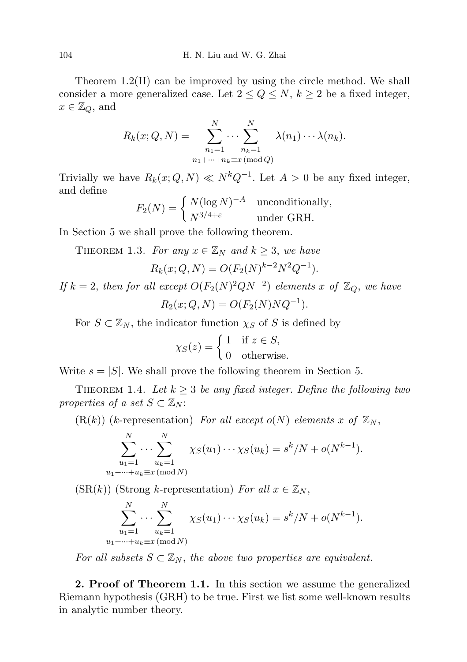Theorem 1.2(II) can be improved by using the circle method. We shall consider a more generalized case. Let  $2 \le Q \le N$ ,  $k \ge 2$  be a fixed integer,  $x \in \mathbb{Z}_Q$ , and

$$
R_k(x; Q, N) = \sum_{\substack{n_1=1 \ n_1+\cdots+n_k \equiv x \pmod{Q}}}^{N} \lambda(n_1) \cdots \lambda(n_k).
$$

Trivially we have  $R_k(x; Q, N) \ll N^k Q^{-1}$ . Let  $A > 0$  be any fixed integer, and define

$$
F_2(N) = \begin{cases} N(\log N)^{-A} & \text{unconditionally,} \\ N^{3/4+\varepsilon} & \text{under GRH.} \end{cases}
$$

In Section 5 we shall prove the following theorem.

THEOREM 1.3. For any  $x \in \mathbb{Z}_N$  and  $k \geq 3$ , we have

$$
R_k(x; Q, N) = O(F_2(N)^{k-2}N^2Q^{-1}).
$$

If  $k = 2$ , then for all except  $O(F_2(N)^2 Q N^{-2})$  elements x of  $\mathbb{Z}_Q$ , we have  $R_2(x; Q, N) = O(F_2(N)NQ^{-1}).$ 

For  $S \subset \mathbb{Z}_N$ , the indicator function  $\chi_S$  of S is defined by

$$
\chi_S(z) = \begin{cases} 1 & \text{if } z \in S, \\ 0 & \text{otherwise.} \end{cases}
$$

Write  $s = |S|$ . We shall prove the following theorem in Section 5.

THEOREM 1.4. Let  $k \geq 3$  be any fixed integer. Define the following two properties of a set  $S \subset \mathbb{Z}_N$ :

 $(R(k))$  (k-representation) For all except o(N) elements x of  $\mathbb{Z}_N$ ,

$$
\sum_{\substack{u_1=1 \ u_1+\cdots+u_k \equiv x \pmod{N}}}^{N} \chi_S(u_1)\cdots\chi_S(u_k) = s^k/N + o(N^{k-1}).
$$

 $(SR(k))$  (Strong k-representation) For all  $x \in \mathbb{Z}_N$ ,

$$
\sum_{u_1=1}^N \cdots \sum_{u_k=1}^N \chi_S(u_1) \cdots \chi_S(u_k) = s^k/N + o(N^{k-1}).
$$
  
 $u_1 + \cdots + u_k \equiv x \pmod{N}$ 

For all subsets  $S \subset \mathbb{Z}_N$ , the above two properties are equivalent.

2. Proof of Theorem 1.1. In this section we assume the generalized Riemann hypothesis (GRH) to be true. First we list some well-known results in analytic number theory.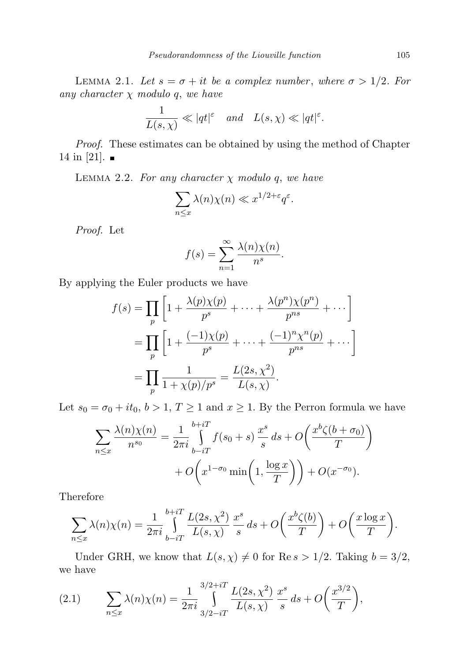LEMMA 2.1. Let  $s = \sigma + it$  be a complex number, where  $\sigma > 1/2$ . For any character  $\chi$  modulo q, we have

$$
\frac{1}{L(s,\chi)} \ll |qt|^{\varepsilon} \quad and \quad L(s,\chi) \ll |qt|^{\varepsilon}.
$$

Proof. These estimates can be obtained by using the method of Chapter 14 in [21].  $\blacksquare$ 

LEMMA 2.2. For any character  $\chi$  modulo q, we have

$$
\sum_{n \le x} \lambda(n) \chi(n) \ll x^{1/2 + \varepsilon} q^{\varepsilon}.
$$

Proof. Let

$$
f(s) = \sum_{n=1}^{\infty} \frac{\lambda(n)\chi(n)}{n^s}.
$$

By applying the Euler products we have

$$
f(s) = \prod_{p} \left[ 1 + \frac{\lambda(p)\chi(p)}{p^s} + \dots + \frac{\lambda(p^n)\chi(p^n)}{p^{ns}} + \dots \right]
$$
  
= 
$$
\prod_{p} \left[ 1 + \frac{(-1)\chi(p)}{p^s} + \dots + \frac{(-1)^n\chi^n(p)}{p^{ns}} + \dots \right]
$$
  
= 
$$
\prod_{p} \frac{1}{1 + \chi(p)/p^s} = \frac{L(2s, \chi^2)}{L(s, \chi)}.
$$

Let  $s_0 = \sigma_0 + it_0, b > 1, T \ge 1$  and  $x \ge 1$ . By the Perron formula we have

$$
\sum_{n\leq x} \frac{\lambda(n)\chi(n)}{n^{s_0}} = \frac{1}{2\pi i} \int_{b-iT}^{b+iT} f(s_0+s) \frac{x^s}{s} ds + O\left(\frac{x^b \zeta(b+\sigma_0)}{T}\right)
$$

$$
+ O\left(x^{1-\sigma_0} \min\left(1, \frac{\log x}{T}\right)\right) + O(x^{-\sigma_0}).
$$

Therefore

$$
\sum_{n\leq x}\lambda(n)\chi(n)=\frac{1}{2\pi i}\int_{b-iT}^{b+iT}\frac{L(2s,\chi^2)}{L(s,\chi)}\frac{x^s}{s}ds+O\bigg(\frac{x^b\zeta(b)}{T}\bigg)+O\bigg(\frac{x\log x}{T}\bigg).
$$

Under GRH, we know that  $L(s, \chi) \neq 0$  for Re  $s > 1/2$ . Taking  $b = 3/2$ , we have

(2.1) 
$$
\sum_{n \leq x} \lambda(n) \chi(n) = \frac{1}{2\pi i} \int_{3/2 - iT}^{3/2 + iT} \frac{L(2s, \chi^2)}{L(s, \chi)} \frac{x^s}{s} ds + O\left(\frac{x^{3/2}}{T}\right),
$$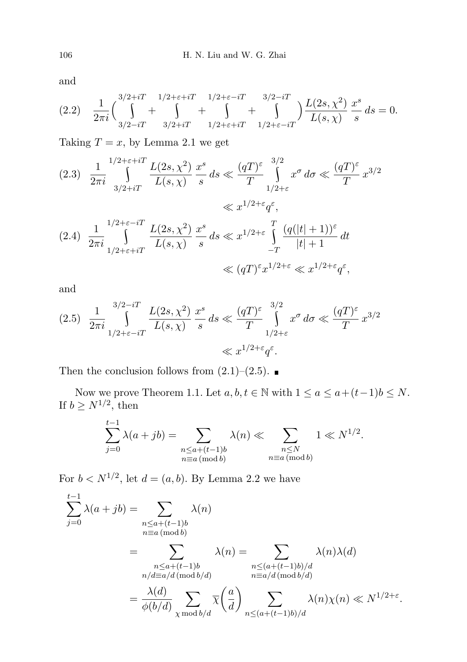and

$$
(2.2) \quad \frac{1}{2\pi i} \left( \int_{3/2-iT}^{3/2+iT} \int_{3/2+iT}^{1/2+\epsilon+iT} + \int_{1/2+\epsilon+iT}^{1/2+\epsilon-iT} + \int_{1/2+\epsilon-iT}^{3/2-iT} \right) \frac{L(2s,\chi^2)}{L(s,\chi)} \frac{x^s}{s} ds = 0.
$$

Taking  $T = x$ , by Lemma 2.1 we get

$$
(2.3) \frac{1}{2\pi i} \int_{3/2+iT}^{1/2+\varepsilon+iT} \frac{L(2s,\chi^2)}{L(s,\chi)} \frac{x^s}{s} ds \ll \frac{(qT)^{\varepsilon}}{T} \int_{1/2+\varepsilon}^{3/2} x^{\sigma} d\sigma \ll \frac{(qT)^{\varepsilon}}{T} x^{3/2}
$$

$$
\ll x^{1/2+\varepsilon} q^{\varepsilon},
$$

$$
(2.4) \frac{1}{2\pi i} \int_{1/2+\varepsilon+iT}^{1/2+\varepsilon-iT} \frac{L(2s,\chi^2)}{L(s,\chi)} \frac{x^s}{s} ds \ll x^{1/2+\varepsilon} \int_{-T}^{T} \frac{(q(|t|+1))^{\varepsilon}}{|t|+1} dt
$$

$$
\ll (qT)^{\varepsilon} x^{1/2+\varepsilon} \ll x^{1/2+\varepsilon} q^{\varepsilon},
$$

and

$$
(2.5) \frac{1}{2\pi i} \int_{1/2+\varepsilon-iT}^{3/2-iT} \frac{L(2s,\chi^2)}{L(s,\chi)} \frac{x^s}{s} ds \ll \frac{(qT)^{\varepsilon}}{T} \int_{1/2+\varepsilon}^{3/2} x^{\sigma} d\sigma \ll \frac{(qT)^{\varepsilon}}{T} x^{3/2}
$$

$$
\ll x^{1/2+\varepsilon} q^{\varepsilon}.
$$

Then the conclusion follows from  $(2.1)$ – $(2.5)$ .

Now we prove Theorem 1.1. Let  $a, b, t \in \mathbb{N}$  with  $1 \le a \le a + (t-1)b \le N$ . If  $b \geq N^{1/2}$ , then

$$
\sum_{j=0}^{t-1} \lambda(a+jb) = \sum_{\substack{n \le a+(t-1)b \\ n \equiv a \pmod{b}}} \lambda(n) \ll \sum_{\substack{n \le N \\ n \equiv a \pmod{b}}} 1 \ll N^{1/2}.
$$

For  $b < N^{1/2}$ , let  $d = (a, b)$ . By Lemma 2.2 we have

$$
\sum_{j=0}^{t-1} \lambda(a+jb) = \sum_{\substack{n \le a+(t-1)b \\ n \equiv a \pmod{b}}} \lambda(n)
$$

$$
= \sum_{\substack{n \le a+(t-1)b \\ n/d \equiv a/d \pmod{b/d}}} \lambda(n) = \sum_{\substack{n \le (a+(t-1)b)/d \\ n \equiv a/d \pmod{b/d}}} \lambda(n)\lambda(d)
$$

$$
= \frac{\lambda(d)}{\phi(b/d)} \sum_{\substack{n \le (a+(t-1)b)/d \\ \chi \bmod{b/d}}} \overline{\chi}\left(\frac{a}{d}\right) \sum_{\substack{n \le (a+(t-1)b)/d \\ n \le (a+(t-1)b)/d}} \lambda(n)\chi(n) \ll N^{1/2+\varepsilon}.
$$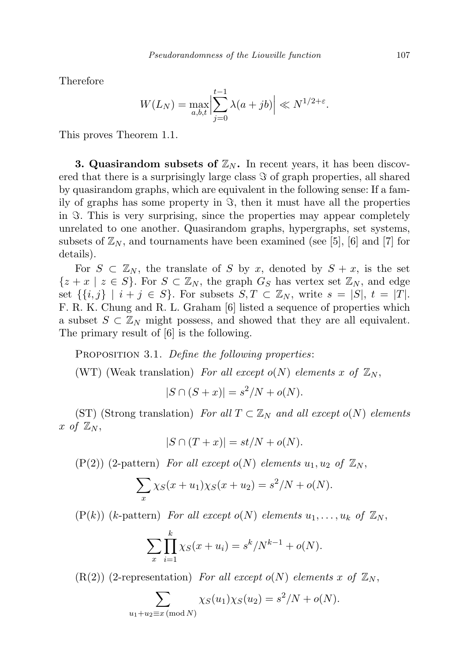Therefore

$$
W(L_N) = \max_{a,b,t} \left| \sum_{j=0}^{t-1} \lambda(a+jb) \right| \ll N^{1/2+\varepsilon}.
$$

This proves Theorem 1.1.

**3. Quasirandom subsets of**  $\mathbb{Z}_N$ **.** In recent years, it has been discovered that there is a surprisingly large class  $\Im$  of graph properties, all shared by quasirandom graphs, which are equivalent in the following sense: If a family of graphs has some property in  $\Im$ , then it must have all the properties in  $\Im$ . This is very surprising, since the properties may appear completely unrelated to one another. Quasirandom graphs, hypergraphs, set systems, subsets of  $\mathbb{Z}_N$ , and tournaments have been examined (see [5], [6] and [7] for details).

For  $S \subset \mathbb{Z}_N$ , the translate of S by x, denoted by  $S + x$ , is the set  $\{z+x \mid z \in S\}$ . For  $S \subset \mathbb{Z}_N$ , the graph  $G_S$  has vertex set  $\mathbb{Z}_N$ , and edge set  $\{\{i,j\} \mid i+j \in S\}$ . For subsets  $S, T \subset \mathbb{Z}_N$ , write  $s = |S|, t = |T|$ . F. R. K. Chung and R. L. Graham [6] listed a sequence of properties which a subset  $S \subset \mathbb{Z}_N$  might possess, and showed that they are all equivalent. The primary result of [6] is the following.

PROPOSITION 3.1. Define the following properties:

(WT) (Weak translation) For all except  $o(N)$  elements x of  $\mathbb{Z}_N$ ,

 $|S \cap (S + x)| = s^2/N + o(N).$ 

(ST) (Strong translation) For all  $T \subset \mathbb{Z}_N$  and all except o(N) elements x of  $\mathbb{Z}_N$ ,

$$
|S \cap (T + x)| = st/N + o(N).
$$

 $(P(2))$  (2-pattern) For all except  $o(N)$  elements  $u_1, u_2$  of  $\mathbb{Z}_N$ ,

$$
\sum_{x} \chi_{S}(x+u_{1})\chi_{S}(x+u_{2}) = s^{2}/N + o(N).
$$

 $(P(k))$  (k-pattern) For all except  $o(N)$  elements  $u_1, \ldots, u_k$  of  $\mathbb{Z}_N$ ,

$$
\sum_{x} \prod_{i=1}^{k} \chi_{S}(x + u_{i}) = s^{k}/N^{k-1} + o(N).
$$

 $(R(2))$  (2-representation) For all except o(N) elements x of  $\mathbb{Z}_N$ ,

 $u_1$ 

$$
\sum_{+u_2 \equiv x \pmod{N}} \chi_S(u_1) \chi_S(u_2) = s^2/N + o(N).
$$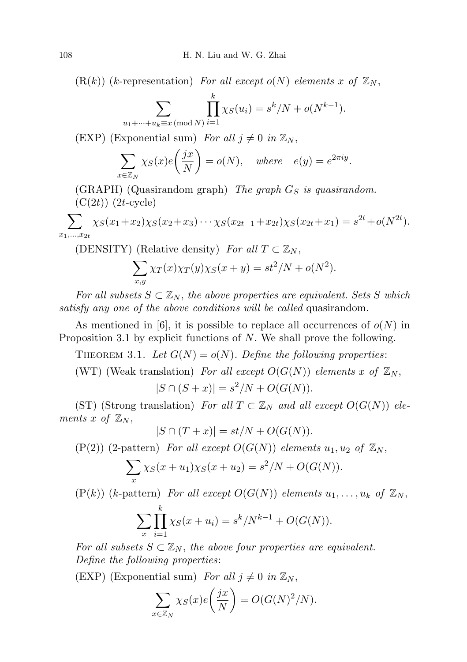$(R(k))$  (k-representation) For all except  $o(N)$  elements x of  $\mathbb{Z}_N$ ,

$$
\sum_{\dots + u_k \equiv x \pmod{N}} \prod_{i=1}^k \chi_S(u_i) = s^k / N + o(N^{k-1}).
$$

(EXP) (Exponential sum) For all  $j \neq 0$  in  $\mathbb{Z}_N$ ,

 $u_1 + \cdot$ 

$$
\sum_{x \in \mathbb{Z}_N} \chi_S(x) e\left(\frac{jx}{N}\right) = o(N), \quad \text{where} \quad e(y) = e^{2\pi i y}.
$$

(GRAPH) (Quasirandom graph) The graph  $G_S$  is quasirandom.  $(C(2t))$   $(2t$ -cycle)

$$
\sum_{x_1,\dots,x_{2t}} \chi_S(x_1+x_2)\chi_S(x_2+x_3)\cdots\chi_S(x_{2t-1}+x_{2t})\chi_S(x_{2t}+x_1)=s^{2t}+o(N^{2t}).
$$

(DENSITY) (Relative density) For all  $T \subset \mathbb{Z}_N$ ,

$$
\sum_{x,y} \chi_T(x) \chi_T(y) \chi_S(x+y) = st^2/N + o(N^2).
$$

For all subsets  $S \subset \mathbb{Z}_N$ , the above properties are equivalent. Sets S which satisfy any one of the above conditions will be called quasirandom.

As mentioned in [6], it is possible to replace all occurrences of  $o(N)$  in Proposition 3.1 by explicit functions of N. We shall prove the following.

THEOREM 3.1. Let  $G(N) = o(N)$ . Define the following properties:

(WT) (Weak translation) For all except  $O(G(N))$  elements x of  $\mathbb{Z}_N$ ,

$$
|S \cap (S + x)| = s^2/N + O(G(N)).
$$

(ST) (Strong translation) For all  $T \subset \mathbb{Z}_N$  and all except  $O(G(N))$  elements x of  $\mathbb{Z}_N$ ,

$$
|S \cap (T + x)| = st/N + O(G(N)).
$$

 $(P(2))$  (2-pattern) For all except  $O(G(N))$  elements  $u_1, u_2$  of  $\mathbb{Z}_N$ ,

$$
\sum_{x} \chi_{S}(x+u_{1})\chi_{S}(x+u_{2}) = s^{2}/N + O(G(N)).
$$

 $(P(k))$  (k-pattern) For all except  $O(G(N))$  elements  $u_1, \ldots, u_k$  of  $\mathbb{Z}_N$ ,

$$
\sum_{x} \prod_{i=1}^{k} \chi_{S}(x + u_{i}) = s^{k}/N^{k-1} + O(G(N)).
$$

For all subsets  $S \subset \mathbb{Z}_N$ , the above four properties are equivalent. Define the following properties:

(EXP) (Exponential sum) For all  $j \neq 0$  in  $\mathbb{Z}_N$ ,

$$
\sum_{x \in \mathbb{Z}_N} \chi_S(x) e\left(\frac{jx}{N}\right) = O(G(N)^2/N).
$$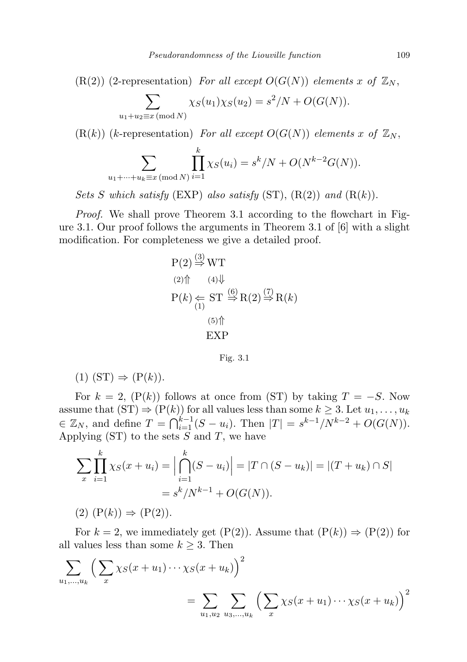$(R(2))$  (2-representation) For all except  $O(G(N))$  elements x of  $\mathbb{Z}_N$ ,

$$
\sum_{u_1+u_2 \equiv x \pmod{N}} \chi_S(u_1)\chi_S(u_2) = s^2/N + O(G(N)).
$$

 $(R(k))$  (k-representation) For all except  $O(G(N))$  elements x of  $\mathbb{Z}_N$ ,

$$
\sum_{u_1 + \dots + u_k \equiv x \pmod{N}} \prod_{i=1}^k \chi_S(u_i) = s^k/N + O(N^{k-2}G(N)).
$$

Sets S which satisfy  $(EXP)$  also satisfy  $(ST)$ ,  $(R(2))$  and  $(R(k))$ .

Proof. We shall prove Theorem 3.1 according to the flowchart in Figure 3.1. Our proof follows the arguments in Theorem 3.1 of  $|6|$  with a slight modification. For completeness we give a detailed proof.

$$
P(2) \stackrel{(3)}{\Rightarrow} WT
$$
  
\n
$$
P(k) \Leftarrow ST \stackrel{(6)}{\Rightarrow} R(2) \stackrel{(7)}{\Rightarrow} R(k)
$$
  
\n
$$
\stackrel{(5)}{\xrightarrow{5}} F
$$
  
\n
$$
EXP
$$

Fig. 3.1

(1)  $(ST) \Rightarrow (P(k))$ .

For  $k = 2$ ,  $(P(k))$  follows at once from (ST) by taking  $T = -S$ . Now assume that  $(ST) \Rightarrow (P(k))$  for all values less than some  $k \geq 3$ . Let  $u_1, \ldots, u_k$  $\in \mathbb{Z}_N$ , and define  $T = \bigcap_{i=1}^{k-1} (S - u_i)$ . Then  $|T| = s^{k-1}/N^{k-2} + O(G(N))$ . Applying  $(ST)$  to the sets S and T, we have

$$
\sum_{x} \prod_{i=1}^{k} \chi_{S}(x + u_{i}) = \left| \bigcap_{i=1}^{k} (S - u_{i}) \right| = |T \cap (S - u_{k})| = |(T + u_{k}) \cap S|
$$

$$
= s^{k} / N^{k-1} + O(G(N)).
$$

 $(2)$   $(P(k)) \Rightarrow (P(2))$ .

For  $k = 2$ , we immediately get  $(P(2))$ . Assume that  $(P(k)) \Rightarrow (P(2))$  for all values less than some  $k \geq 3$ . Then

$$
\sum_{u_1,...,u_k} \left( \sum_x \chi_S(x+u_1) \cdots \chi_S(x+u_k) \right)^2 = \sum_{u_1,u_2} \sum_{u_3,...,u_k} \left( \sum_x \chi_S(x+u_1) \cdots \chi_S(x+u_k) \right)^2
$$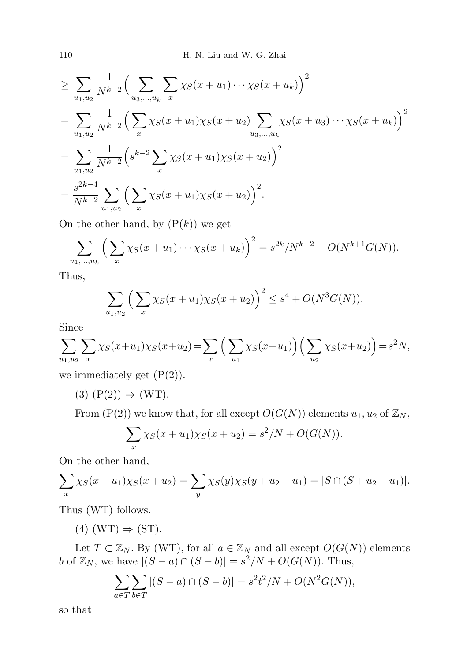$$
\geq \sum_{u_1, u_2} \frac{1}{N^{k-2}} \Big( \sum_{u_3, \dots, u_k} \sum_x \chi_S(x+u_1) \cdots \chi_S(x+u_k) \Big)^2
$$
  
= 
$$
\sum_{u_1, u_2} \frac{1}{N^{k-2}} \Big( \sum_x \chi_S(x+u_1) \chi_S(x+u_2) \sum_{u_3, \dots, u_k} \chi_S(x+u_3) \cdots \chi_S(x+u_k) \Big)^2
$$
  
= 
$$
\sum_{u_1, u_2} \frac{1}{N^{k-2}} \Big( s^{k-2} \sum_x \chi_S(x+u_1) \chi_S(x+u_2) \Big)^2
$$
  
= 
$$
\frac{s^{2k-4}}{N^{k-2}} \sum_{u_1, u_2} \Big( \sum_x \chi_S(x+u_1) \chi_S(x+u_2) \Big)^2.
$$

On the other hand, by  $(P(k))$  we get

$$
\sum_{u_1,\dots,u_k} \left( \sum_x \chi_S(x+u_1) \cdots \chi_S(x+u_k) \right)^2 = s^{2k} / N^{k-2} + O(N^{k+1}G(N)).
$$

Thus,

$$
\sum_{u_1, u_2} \left( \sum_x \chi_S(x + u_1) \chi_S(x + u_2) \right)^2 \le s^4 + O(N^3 G(N)).
$$

Since

$$
\sum_{u_1, u_2} \sum_x \chi_S(x+u_1)\chi_S(x+u_2) = \sum_x \Big( \sum_{u_1} \chi_S(x+u_1) \Big) \Big( \sum_{u_2} \chi_S(x+u_2) \Big) = s^2 N,
$$

we immediately get  $(P(2))$ .

 $(3)$   $(P(2)) \Rightarrow (WT)$ .

From  $(P(2))$  we know that, for all except  $O(G(N))$  elements  $u_1, u_2$  of  $\mathbb{Z}_N$ ,

$$
\sum_{x} \chi_{S}(x+u_{1})\chi_{S}(x+u_{2}) = s^{2}/N + O(G(N)).
$$

On the other hand,

$$
\sum_{x} \chi_{S}(x+u_1)\chi_{S}(x+u_2) = \sum_{y} \chi_{S}(y)\chi_{S}(y+u_2-u_1) = |S \cap (S+u_2-u_1)|.
$$

Thus (WT) follows.

 $(4)$  (WT)  $\Rightarrow$  (ST).

Let  $T \subset \mathbb{Z}_N$ . By (WT), for all  $a \in \mathbb{Z}_N$  and all except  $O(G(N))$  elements *b* of  $\mathbb{Z}_N$ , we have  $|(S - a) \cap (S - b)| = s^2/N + O(G(N))$ . Thus,

$$
\sum_{a \in T} \sum_{b \in T} |(S - a) \cap (S - b)| = s^2 t^2 / N + O(N^2 G(N)),
$$

so that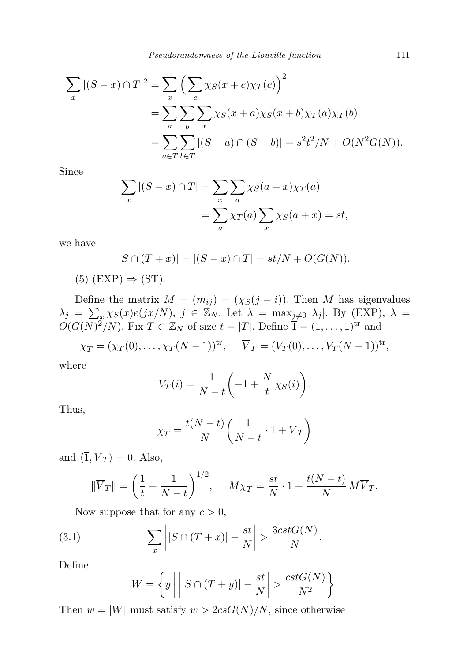Pseudorandomness of the Liouville function 111

$$
\sum_{x} |(S-x) \cap T|^2 = \sum_{x} \left( \sum_{c} \chi_{S}(x+c) \chi_{T}(c) \right)^2
$$
  
= 
$$
\sum_{a} \sum_{b} \sum_{x} \chi_{S}(x+a) \chi_{S}(x+b) \chi_{T}(a) \chi_{T}(b)
$$
  
= 
$$
\sum_{a \in T} \sum_{b \in T} |(S-a) \cap (S-b)| = s^2 t^2 / N + O(N^2 G(N)).
$$

Since

$$
\sum_{x} |(S - x) \cap T| = \sum_{x} \sum_{a} \chi_{S}(a + x)\chi_{T}(a)
$$

$$
= \sum_{a} \chi_{T}(a) \sum_{x} \chi_{S}(a + x) = st,
$$

we have

$$
|S \cap (T + x)| = |(S - x) \cap T| = st/N + O(G(N)).
$$

 $(5)$  (EXP)  $\Rightarrow$  (ST).

Define the matrix  $M = (m_{ij}) = (\chi_S(j - i))$ . Then M has eigenvalues  $\lambda_j = \sum_x \chi_S(x) e(jx/N), j \in \mathbb{Z}_N$ . Let  $\lambda = \max_{j \neq 0} |\lambda_j|$ . By (EXP),  $\lambda =$  $O(G(N)^2/N)$ . Fix  $T \subset \mathbb{Z}_N$  of size  $t = |T|$ . Define  $\overline{1} = (1, \ldots, 1)^{tr}$  and

$$
\overline{\chi}_T = (\chi_T(0), \dots, \chi_T(N-1))^{tr}, \quad \overline{V}_T = (V_T(0), \dots, V_T(N-1))^{tr},
$$

where

$$
V_T(i) = \frac{1}{N-t} \bigg( -1 + \frac{N}{t} \chi_S(i) \bigg).
$$

Thus,

$$
\overline{\chi}_T = \frac{t(N-t)}{N} \left( \frac{1}{N-t} \cdot \overline{1} + \overline{V}_T \right)
$$

and  $\langle \overline{1}, \overline{V}_T \rangle = 0$ . Also,

$$
\|\overline{V}_T\| = \left(\frac{1}{t} + \frac{1}{N-t}\right)^{1/2}, \quad M\overline{\chi}_T = \frac{st}{N} \cdot \overline{1} + \frac{t(N-t)}{N} M\overline{V}_T.
$$

Now suppose that for any  $c > 0$ ,

(3.1) 
$$
\sum_{x} |S \cap (T + x)| - \frac{st}{N} > \frac{3cstG(N)}{N}
$$

Define

$$
W = \left\{ y \mid \left| |S \cap (T+y)| - \frac{st}{N} \right| > \frac{cstG(N)}{N^2} \right\}.
$$

.

Then  $w = |W|$  must satisfy  $w > 2csG(N)/N$ , since otherwise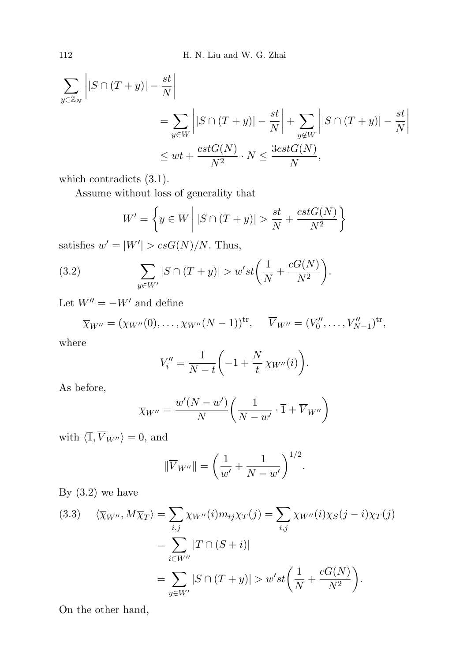$$
\sum_{y \in \mathbb{Z}_N} \left| |S \cap (T+y)| - \frac{st}{N} \right|
$$
\n
$$
= \sum_{y \in W} \left| |S \cap (T+y)| - \frac{st}{N} \right| + \sum_{y \notin W} \left| |S \cap (T+y)| - \frac{st}{N} \right|
$$
\n
$$
\le wt + \frac{cstG(N)}{N^2} \cdot N \le \frac{3cstG(N)}{N},
$$

which contradicts (3.1).

Assume without loss of generality that

$$
W' = \left\{ y \in W \mid |S \cap (T+y)| > \frac{st}{N} + \frac{cstG(N)}{N^2} \right\}
$$

satisfies  $w' = |W'| > csG(N)/N$ . Thus,

(3.2) 
$$
\sum_{y \in W'} |S \cap (T + y)| > w' st \left( \frac{1}{N} + \frac{cG(N)}{N^2} \right).
$$

Let  $W'' = -W'$  and define

$$
\overline{\chi}_{W''} = (\chi_{W''}(0), \dots, \chi_{W''}(N-1))^{\text{tr}}, \quad \overline{V}_{W''} = (V_0'', \dots, V_{N-1}'')^{\text{tr}},
$$

where

$$
V_i'' = \frac{1}{N-t} \bigg( -1 + \frac{N}{t} \chi_{W''}(i) \bigg).
$$

As before,

$$
\overline{\chi}_{W''} = \frac{w'(N - w')}{N} \left( \frac{1}{N - w'} \cdot \overline{1} + \overline{V}_{W''} \right)
$$

with  $\langle \overline{1}, \overline{V}_{W''}\rangle = 0$ , and

$$
\|\overline{V}_{W''}\| = \left(\frac{1}{w'} + \frac{1}{N - w'}\right)^{1/2}.
$$

By  $(3.2)$  we have

(3.3) 
$$
\langle \overline{\chi}_{W''}, M \overline{\chi}_{T} \rangle = \sum_{i,j} \chi_{W''}(i) m_{ij} \chi_{T}(j) = \sum_{i,j} \chi_{W''}(i) \chi_{S}(j-i) \chi_{T}(j)
$$

$$
= \sum_{i \in W''} |T \cap (S+i)|
$$

$$
= \sum_{y \in W'} |S \cap (T+y)| > w' st \left( \frac{1}{N} + \frac{cG(N)}{N^{2}} \right).
$$

On the other hand,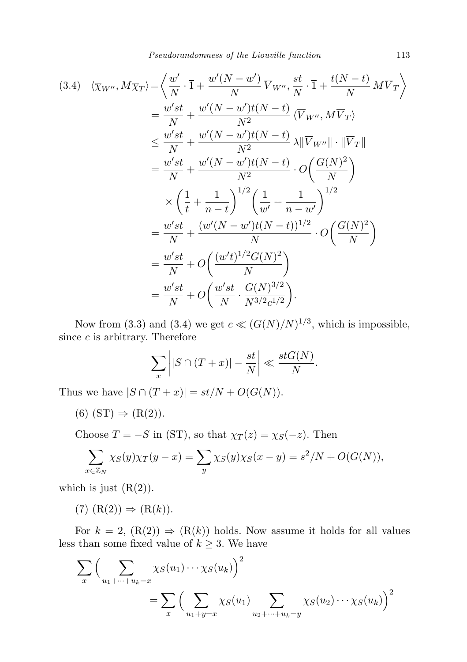Pseudorandomness of the Liouville function 113

$$
(3.4) \langle \overline{\chi}_{W''}, M\overline{\chi}_{T} \rangle = \left\langle \frac{w'}{N} \cdot \overline{1} + \frac{w'(N-w')}{N} \overline{V}_{W''}, \frac{st}{N} \cdot \overline{1} + \frac{t(N-t)}{N} M \overline{V}_{T} \right\rangle
$$
  
\n
$$
= \frac{w'st}{N} + \frac{w'(N-w')t(N-t)}{N^{2}} \langle \overline{V}_{W''}, M\overline{V}_{T} \rangle
$$
  
\n
$$
\leq \frac{w'st}{N} + \frac{w'(N-w')t(N-t)}{N^{2}} \lambda \|\overline{V}_{W''}\| \cdot \|\overline{V}_{T}\|
$$
  
\n
$$
= \frac{w'st}{N} + \frac{w'(N-w')t(N-t)}{N^{2}} \cdot O\left(\frac{G(N)^{2}}{N}\right)
$$
  
\n
$$
\times \left(\frac{1}{t} + \frac{1}{n-t}\right)^{1/2} \left(\frac{1}{w'} + \frac{1}{n-w'}\right)^{1/2}
$$
  
\n
$$
= \frac{w'st}{N} + \frac{(w'(N-w')t(N-t))^{1/2}}{N} \cdot O\left(\frac{G(N)^{2}}{N}\right)
$$
  
\n
$$
= \frac{w'st}{N} + O\left(\frac{(w't)^{1/2}G(N)^{2}}{N}\right)
$$
  
\n
$$
= \frac{w'st}{N} + O\left(\frac{w'st}{N} \cdot \frac{G(N)^{3/2}}{N^{3/2}c^{1/2}}\right).
$$

Now from (3.3) and (3.4) we get  $c \ll (G(N)/N)^{1/3}$ , which is impossible, since  $c$  is arbitrary. Therefore

$$
\sum_{x} \left| |S \cap (T+x)| - \frac{st}{N} \right| \ll \frac{stG(N)}{N}.
$$

Thus we have  $|S \cap (T + x)| = st/N + O(G(N)).$ 

(6)  $(ST) \Rightarrow (R(2))$ .

Choose  $T = -S$  in (ST), so that  $\chi_T(z) = \chi_S(-z)$ . Then

$$
\sum_{x \in \mathbb{Z}_N} \chi_S(y) \chi_T(y - x) = \sum_y \chi_S(y) \chi_S(x - y) = s^2/N + O(G(N)),
$$

which is just  $(R(2))$ .

 $(7)$   $(R(2)) \Rightarrow (R(k)).$ 

For  $k = 2$ ,  $(R(2)) \Rightarrow (R(k))$  holds. Now assume it holds for all values less than some fixed value of  $k \geq 3$ . We have

$$
\sum_{x} \left( \sum_{u_1 + \dots + u_k = x} \chi_S(u_1) \dots \chi_S(u_k) \right)^2
$$
  
= 
$$
\sum_{x} \left( \sum_{u_1 + y = x} \chi_S(u_1) \sum_{u_2 + \dots + u_k = y} \chi_S(u_2) \dots \chi_S(u_k) \right)^2
$$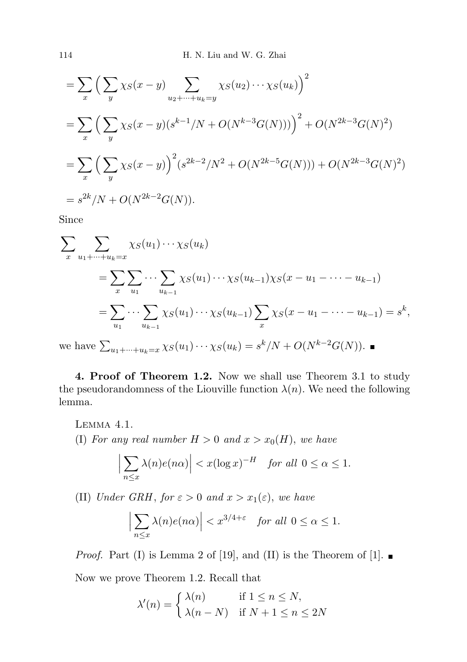$$
= \sum_{x} \left( \sum_{y} \chi_{S}(x-y) \sum_{u_{2}+\cdots+u_{k}=y} \chi_{S}(u_{2}) \cdots \chi_{S}(u_{k}) \right)^{2}
$$
  
= 
$$
\sum_{x} \left( \sum_{y} \chi_{S}(x-y) (s^{k-1}/N + O(N^{k-3}G(N))) \right)^{2} + O(N^{2k-3}G(N)^{2})
$$
  
= 
$$
\sum_{x} \left( \sum_{y} \chi_{S}(x-y) \right)^{2} (s^{2k-2}/N^{2} + O(N^{2k-5}G(N))) + O(N^{2k-3}G(N)^{2})
$$
  
= 
$$
s^{2k}/N + O(N^{2k-2}G(N)).
$$

Since

$$
\sum_{x} \sum_{u_1 + \dots + u_k = x} \chi_S(u_1) \dots \chi_S(u_k)
$$
  
= 
$$
\sum_{x} \sum_{u_1} \dots \sum_{u_{k-1}} \chi_S(u_1) \dots \chi_S(u_{k-1}) \chi_S(x - u_1 - \dots - u_{k-1})
$$
  
= 
$$
\sum_{u_1} \dots \sum_{u_{k-1}} \chi_S(u_1) \dots \chi_S(u_{k-1}) \sum_{x} \chi_S(x - u_1 - \dots - u_{k-1}) = s^k,
$$
  
we have 
$$
\sum_{u_1 + \dots + u_k = x} \chi_S(u_1) \dots \chi_S(u_k) = s^k/N + O(N^{k-2}G(N)).
$$

4. Proof of Theorem 1.2. Now we shall use Theorem 3.1 to study the pseudorandomness of the Liouville function  $\lambda(n)$ . We need the following lemma.

Lemma 4.1. (I) For any real number  $H > 0$  and  $x > x_0(H)$ , we have

$$
\left|\sum_{n\leq x}\lambda(n)e(n\alpha)\right|
$$

(II) Under GRH, for  $\varepsilon > 0$  and  $x > x_1(\varepsilon)$ , we have

$$
\left|\sum_{n\leq x}\lambda(n)e(n\alpha)\right|
$$

*Proof.* Part (I) is Lemma 2 of [19], and (II) is the Theorem of [1].

Now we prove Theorem 1.2. Recall that

$$
\lambda'(n) = \begin{cases} \lambda(n) & \text{if } 1 \le n \le N, \\ \lambda(n-N) & \text{if } N+1 \le n \le 2N \end{cases}
$$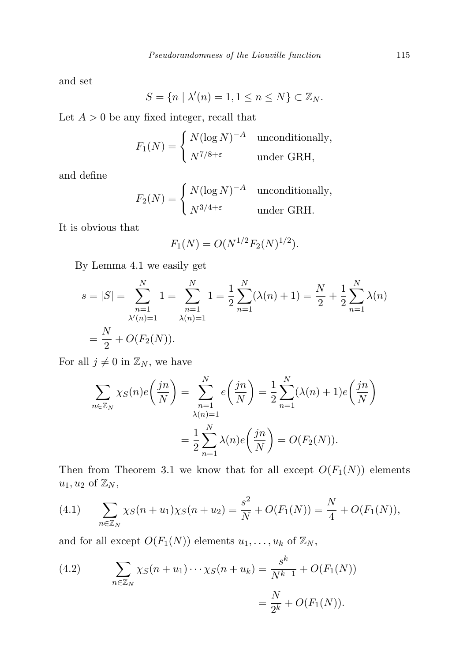and set

$$
S = \{ n \mid \lambda'(n) = 1, 1 \le n \le N \} \subset \mathbb{Z}_N.
$$

Let  $A > 0$  be any fixed integer, recall that

$$
F_1(N) = \begin{cases} N(\log N)^{-A} & \text{unconditionally,} \\ N^{7/8 + \varepsilon} & \text{under GRH,} \end{cases}
$$

and define

$$
F_2(N) = \begin{cases} N(\log N)^{-A} & \text{unconditionally,} \\ N^{3/4 + \varepsilon} & \text{under GRH.} \end{cases}
$$

It is obvious that

$$
F_1(N) = O(N^{1/2} F_2(N)^{1/2}).
$$

By Lemma 4.1 we easily get

$$
s = |S| = \sum_{\substack{n=1 \ \lambda'(n)=1}}^N 1 = \sum_{\substack{n=1 \ \lambda(n)=1}}^N 1 = \frac{1}{2} \sum_{n=1}^N (\lambda(n) + 1) = \frac{N}{2} + \frac{1}{2} \sum_{n=1}^N \lambda(n)
$$

$$
= \frac{N}{2} + O(F_2(N)).
$$

For all  $j \neq 0$  in  $\mathbb{Z}_N$ , we have

$$
\sum_{n \in \mathbb{Z}_N} \chi_S(n) e\left(\frac{jn}{N}\right) = \sum_{\substack{n=1 \ \lambda(n)=1}}^N e\left(\frac{jn}{N}\right) = \frac{1}{2} \sum_{n=1}^N (\lambda(n) + 1) e\left(\frac{jn}{N}\right)
$$

$$
= \frac{1}{2} \sum_{n=1}^N \lambda(n) e\left(\frac{jn}{N}\right) = O(F_2(N)).
$$

Then from Theorem 3.1 we know that for all except  $O(F_1(N))$  elements  $u_1, u_2$  of  $\mathbb{Z}_N$ ,

(4.1) 
$$
\sum_{n \in \mathbb{Z}_N} \chi_S(n+u_1)\chi_S(n+u_2) = \frac{s^2}{N} + O(F_1(N)) = \frac{N}{4} + O(F_1(N)),
$$

and for all except  $O(F_1(N))$  elements  $u_1, \ldots, u_k$  of  $\mathbb{Z}_N$ ,

(4.2) 
$$
\sum_{n \in \mathbb{Z}_N} \chi_S(n+u_1) \cdots \chi_S(n+u_k) = \frac{s^k}{N^{k-1}} + O(F_1(N))
$$

$$
= \frac{N}{2^k} + O(F_1(N)).
$$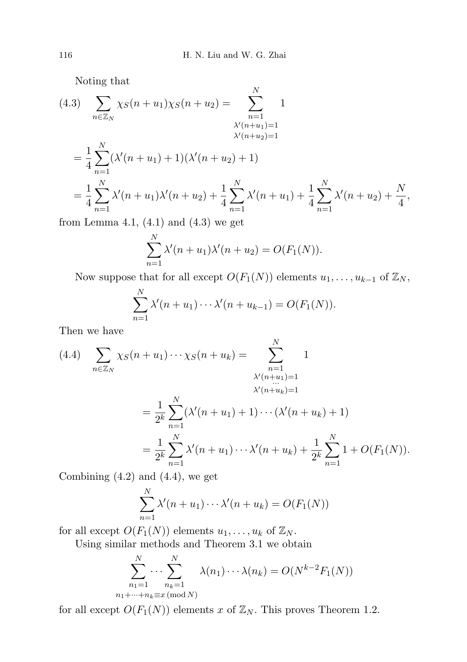Noting that

$$
(4.3) \sum_{n \in \mathbb{Z}_N} \chi_S(n+u_1)\chi_S(n+u_2) = \sum_{\substack{n=1 \ \lambda'(n+u_1)=1}}^N 1
$$
  

$$
= \frac{1}{4} \sum_{n=1}^N (\lambda'(n+u_1) + 1)(\lambda'(n+u_2) + 1)
$$
  

$$
= \frac{1}{4} \sum_{n=1}^N \lambda'(n+u_1)\lambda'(n+u_2) + \frac{1}{4} \sum_{n=1}^N \lambda'(n+u_1) + \frac{1}{4} \sum_{n=1}^N \lambda'(n+u_2) + \frac{N}{4},
$$

from Lemma 4.1,  $(4.1)$  and  $(4.3)$  we get

$$
\sum_{n=1}^{N} \lambda'(n+u_1)\lambda'(n+u_2) = O(F_1(N)).
$$

Now suppose that for all except  $O(F_1(N))$  elements  $u_1, \ldots, u_{k-1}$  of  $\mathbb{Z}_N$ ,

$$
\sum_{n=1}^{N} \lambda'(n+u_1) \cdots \lambda'(n+u_{k-1}) = O(F_1(N)).
$$

Then we have

$$
(4.4) \sum_{n \in \mathbb{Z}_N} \chi_S(n+u_1) \cdots \chi_S(n+u_k) = \sum_{\substack{n=1 \ \lambda'(n+u_1)=1}}^N 1
$$
  

$$
= \frac{1}{2^k} \sum_{n=1}^N (\lambda'(n+u_1) + 1) \cdots (\lambda'(n+u_k) + 1)
$$
  

$$
= \frac{1}{2^k} \sum_{n=1}^N \lambda'(n+u_1) \cdots \lambda'(n+u_k) + \frac{1}{2^k} \sum_{n=1}^N 1 + O(F_1(N)).
$$

Combining  $(4.2)$  and  $(4.4)$ , we get

$$
\sum_{n=1}^N \lambda'(n+u_1)\cdots\lambda'(n+u_k) = O(F_1(N))
$$

for all except  $O(F_1(N))$  elements  $u_1, \ldots, u_k$  of  $\mathbb{Z}_N$ .

Using similar methods and Theorem 3.1 we obtain

$$
\sum_{\substack{n_1=1 \ n_1+\cdots+n_k\equiv x \pmod{N}}}^N \lambda(n_1)\cdots\lambda(n_k) = O(N^{k-2}F_1(N))
$$

for all except  $O(F_1(N))$  elements x of  $\mathbb{Z}_N$ . This proves Theorem 1.2.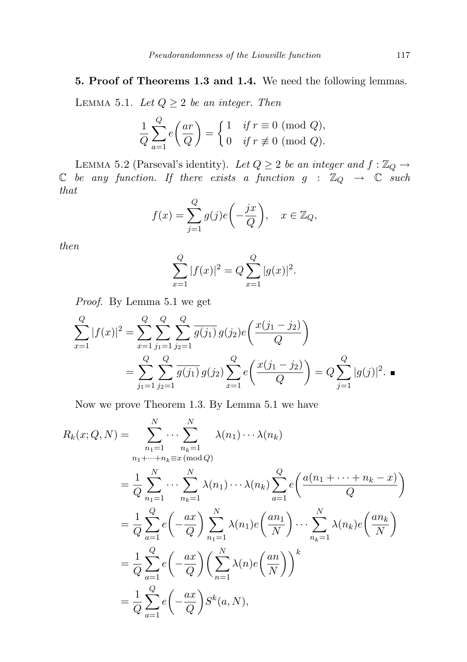## 5. Proof of Theorems 1.3 and 1.4. We need the following lemmas.

LEMMA 5.1. Let  $Q \geq 2$  be an integer. Then

$$
\frac{1}{Q} \sum_{a=1}^{Q} e\left(\frac{ar}{Q}\right) = \begin{cases} 1 & \text{if } r \equiv 0 \pmod{Q}, \\ 0 & \text{if } r \not\equiv 0 \pmod{Q}. \end{cases}
$$

LEMMA 5.2 (Parseval's identity). Let  $Q \geq 2$  be an integer and  $f : \mathbb{Z}_Q \to$  $\mathbb C$  be any function. If there exists a function  $g$  :  $\mathbb Z_Q$   $\rightarrow$   $\mathbb C$  such that

$$
f(x) = \sum_{j=1}^{Q} g(j)e\left(-\frac{jx}{Q}\right), \quad x \in \mathbb{Z}_Q,
$$

then

$$
\sum_{x=1}^{Q} |f(x)|^2 = Q \sum_{x=1}^{Q} |g(x)|^2.
$$

Proof. By Lemma 5.1 we get

$$
\sum_{x=1}^{Q} |f(x)|^2 = \sum_{x=1}^{Q} \sum_{j_1=1}^{Q} \sum_{j_2=1}^{Q} \overline{g(j_1)} g(j_2) e\left(\frac{x(j_1 - j_2)}{Q}\right)
$$
  
= 
$$
\sum_{j_1=1}^{Q} \sum_{j_2=1}^{Q} \overline{g(j_1)} g(j_2) \sum_{x=1}^{Q} e\left(\frac{x(j_1 - j_2)}{Q}\right) = Q \sum_{j=1}^{Q} |g(j)|^2.
$$

Now we prove Theorem 1.3. By Lemma 5.1 we have

$$
R_k(x; Q, N) = \sum_{n_1=1}^{N} \cdots \sum_{n_k=1}^{N} \lambda(n_1) \cdots \lambda(n_k)
$$
  
\n
$$
= \frac{1}{Q} \sum_{n_1=1}^{N} \cdots \sum_{n_k=1}^{N} \lambda(n_1) \cdots \lambda(n_k) \sum_{a=1}^{Q} e\left(\frac{a(n_1 + \cdots + n_k - x)}{Q}\right)
$$
  
\n
$$
= \frac{1}{Q} \sum_{a=1}^{Q} e\left(-\frac{ax}{Q}\right) \sum_{n_1=1}^{N} \lambda(n_1) e\left(\frac{an_1}{N}\right) \cdots \sum_{n_k=1}^{N} \lambda(n_k) e\left(\frac{an_k}{N}\right)
$$
  
\n
$$
= \frac{1}{Q} \sum_{a=1}^{Q} e\left(-\frac{ax}{Q}\right) \left(\sum_{n=1}^{N} \lambda(n) e\left(\frac{an}{N}\right)\right)^k
$$
  
\n
$$
= \frac{1}{Q} \sum_{a=1}^{Q} e\left(-\frac{ax}{Q}\right) S^k(a, N),
$$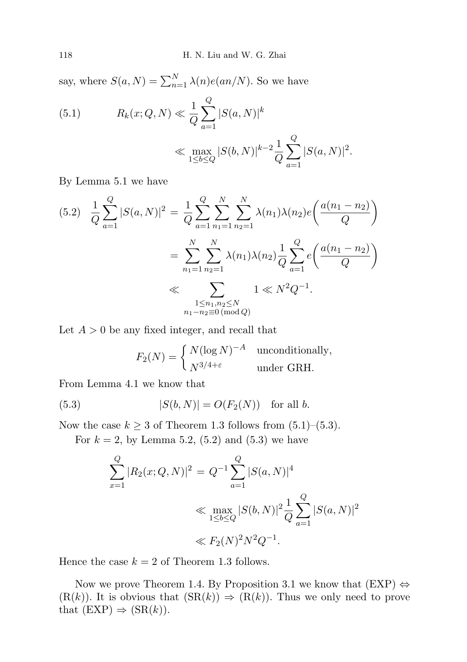say, where  $S(a, N) = \sum_{n=1}^{N} \lambda(n) e(an/N)$ . So we have

(5.1) 
$$
R_k(x; Q, N) \ll \frac{1}{Q} \sum_{a=1}^{Q} |S(a, N)|^k
$$

$$
\ll \max_{1 \le b \le Q} |S(b, N)|^{k-2} \frac{1}{Q} \sum_{a=1}^{Q} |S(a, N)|^2.
$$

By Lemma 5.1 we have

$$
(5.2) \quad \frac{1}{Q} \sum_{a=1}^{Q} |S(a,N)|^2 = \frac{1}{Q} \sum_{a=1}^{Q} \sum_{n_1=1}^{N} \sum_{n_2=1}^{N} \lambda(n_1) \lambda(n_2) e\left(\frac{a(n_1 - n_2)}{Q}\right)
$$

$$
= \sum_{n_1=1}^{N} \sum_{n_2=1}^{N} \lambda(n_1) \lambda(n_2) \frac{1}{Q} \sum_{a=1}^{Q} e\left(\frac{a(n_1 - n_2)}{Q}\right)
$$

$$
\ll \sum_{\substack{1 \le n_1, n_2 \le N \\ n_1 - n_2 \equiv 0 \pmod{Q}}} 1 \ll N^2 Q^{-1}.
$$

Let  $A > 0$  be any fixed integer, and recall that

$$
F_2(N) = \begin{cases} N(\log N)^{-A} & \text{unconditionally,} \\ N^{3/4+\varepsilon} & \text{under GRH.} \end{cases}
$$

From Lemma 4.1 we know that

(5.3) 
$$
|S(b, N)| = O(F_2(N))
$$
 for all b.

Now the case  $k \geq 3$  of Theorem 1.3 follows from  $(5.1)$ – $(5.3)$ .

For  $k = 2$ , by Lemma 5.2, (5.2) and (5.3) we have

$$
\sum_{x=1}^{Q} |R_2(x; Q, N)|^2 = Q^{-1} \sum_{a=1}^{Q} |S(a, N)|^4
$$
  

$$
\ll \max_{1 \le b \le Q} |S(b, N)|^2 \frac{1}{Q} \sum_{a=1}^{Q} |S(a, N)|^2
$$
  

$$
\ll F_2(N)^2 N^2 Q^{-1}.
$$

Hence the case  $k = 2$  of Theorem 1.3 follows.

Now we prove Theorem 1.4. By Proposition 3.1 we know that  $(EXP) \Leftrightarrow$  $(R(k))$ . It is obvious that  $(SR(k)) \Rightarrow (R(k))$ . Thus we only need to prove that  $(EXP) \Rightarrow (SR(k)).$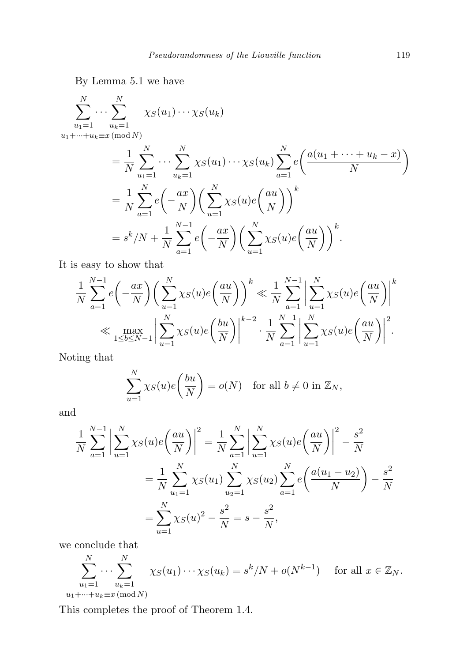By Lemma 5.1 we have

$$
\sum_{u_1=1}^N \cdots \sum_{u_k=1}^N \chi_S(u_1) \cdots \chi_S(u_k)
$$
  
 
$$
u_1 + \cdots + u_k \equiv x \pmod{N}
$$

$$
= \frac{1}{N} \sum_{u_1=1}^N \cdots \sum_{u_k=1}^N \chi_S(u_1) \cdots \chi_S(u_k) \sum_{a=1}^N e\left(\frac{a(u_1 + \cdots + u_k - x)}{N}\right)
$$
  

$$
= \frac{1}{N} \sum_{a=1}^N e\left(-\frac{ax}{N}\right) \left(\sum_{u=1}^N \chi_S(u) e\left(\frac{au}{N}\right)\right)^k
$$
  

$$
= s^k/N + \frac{1}{N} \sum_{a=1}^{N-1} e\left(-\frac{ax}{N}\right) \left(\sum_{u=1}^N \chi_S(u) e\left(\frac{au}{N}\right)\right)^k.
$$

It is easy to show that

$$
\frac{1}{N} \sum_{a=1}^{N-1} e\left(-\frac{ax}{N}\right) \left(\sum_{u=1}^{N} \chi_S(u) e\left(\frac{au}{N}\right)\right)^k \ll \frac{1}{N} \sum_{a=1}^{N-1} \left|\sum_{u=1}^{N} \chi_S(u) e\left(\frac{au}{N}\right)\right|^k
$$
  

$$
\ll \max_{1 \le b \le N-1} \left|\sum_{u=1}^{N} \chi_S(u) e\left(\frac{bu}{N}\right)\right|^{k-2} \cdot \frac{1}{N} \sum_{a=1}^{N-1} \left|\sum_{u=1}^{N} \chi_S(u) e\left(\frac{au}{N}\right)\right|^2.
$$

Noting that

$$
\sum_{u=1}^{N} \chi_{S}(u)e\left(\frac{bu}{N}\right) = o(N) \text{ for all } b \neq 0 \text{ in } \mathbb{Z}_N,
$$

and

$$
\frac{1}{N} \sum_{a=1}^{N-1} \left| \sum_{u=1}^{N} \chi_S(u) e\left(\frac{au}{N}\right) \right|^2 = \frac{1}{N} \sum_{a=1}^{N} \left| \sum_{u=1}^{N} \chi_S(u) e\left(\frac{au}{N}\right) \right|^2 - \frac{s^2}{N}
$$

$$
= \frac{1}{N} \sum_{u_1=1}^{N} \chi_S(u_1) \sum_{u_2=1}^{N} \chi_S(u_2) \sum_{a=1}^{N} e\left(\frac{a(u_1 - u_2)}{N}\right) - \frac{s^2}{N}
$$

$$
= \sum_{u=1}^{N} \chi_S(u)^2 - \frac{s^2}{N} = s - \frac{s^2}{N},
$$

we conclude that

$$
\sum_{\substack{u_1=1 \ u_1+\cdots+u_k\equiv x \pmod{N}}}^N \chi_S(u_1)\cdots\chi_S(u_k) = s^k/N + o(N^{k-1}) \quad \text{ for all } x \in \mathbb{Z}_N.
$$

This completes the proof of Theorem 1.4.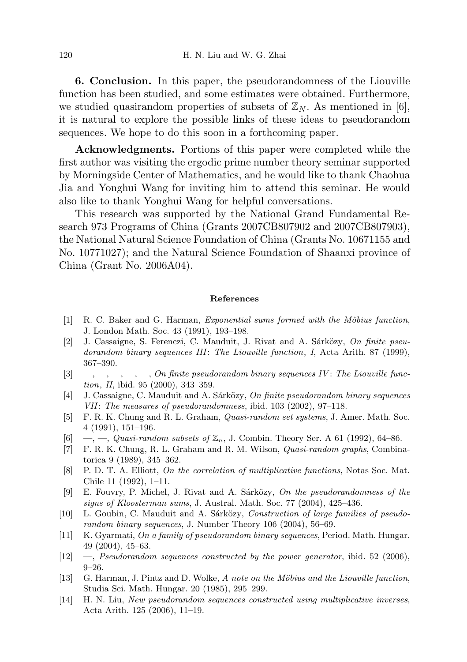6. Conclusion. In this paper, the pseudorandomness of the Liouville function has been studied, and some estimates were obtained. Furthermore, we studied quasirandom properties of subsets of  $\mathbb{Z}_N$ . As mentioned in [6], it is natural to explore the possible links of these ideas to pseudorandom sequences. We hope to do this soon in a forthcoming paper.

Acknowledgments. Portions of this paper were completed while the first author was visiting the ergodic prime number theory seminar supported by Morningside Center of Mathematics, and he would like to thank Chaohua Jia and Yonghui Wang for inviting him to attend this seminar. He would also like to thank Yonghui Wang for helpful conversations.

This research was supported by the National Grand Fundamental Research 973 Programs of China (Grants 2007CB807902 and 2007CB807903), the National Natural Science Foundation of China (Grants No. 10671155 and No. 10771027); and the Natural Science Foundation of Shaanxi province of China (Grant No. 2006A04).

## References

- [1] R. C. Baker and G. Harman, *Exponential sums formed with the Möbius function*, J. London Math. Soc. 43 (1991), 193–198.
- [2] J. Cassaigne, S. Ferenczi, C. Mauduit, J. Rivat and A. Sárközy, On finite pseudorandom binary sequences III: The Liouville function, I, Acta Arith. 87 (1999), 367–390.
- $[3] \quad -,-,-,-, \quad -, \quad 0$ n finite pseudorandom binary sequences IV: The Liouville function, II, ibid. 95 (2000), 343–359.
- [4] J. Cassaigne, C. Mauduit and A. Sárközy, On finite pseudorandom binary sequences VII: The measures of pseudorandomness, ibid. 103 (2002), 97–118.
- [5] F. R. K. Chung and R. L. Graham, Quasi-random set systems, J. Amer. Math. Soc. 4 (1991), 151–196.
- [6] —, —, Quasi-random subsets of  $\mathbb{Z}_n$ , J. Combin. Theory Ser. A 61 (1992), 64–86.
- [7] F. R. K. Chung, R. L. Graham and R. M. Wilson, Quasi-random graphs, Combinatorica 9 (1989), 345–362.
- [8] P. D. T. A. Elliott, On the correlation of multiplicative functions, Notas Soc. Mat. Chile 11 (1992), 1–11.
- [9] E. Fouvry, P. Michel, J. Rivat and A. Sárközy, On the pseudorandomness of the signs of Kloosterman sums, J. Austral. Math. Soc. 77 (2004), 425–436.
- [10] L. Goubin, C. Mauduit and A. Sárközy, Construction of large families of pseudorandom binary sequences, J. Number Theory 106 (2004), 56–69.
- [11] K. Gyarmati, On a family of pseudorandom binary sequences, Period. Math. Hungar. 49 (2004), 45–63.
- $[12] \quad$ —, Pseudorandom sequences constructed by the power generator, ibid. 52 (2006), 9–26.
- [13] G. Harman, J. Pintz and D. Wolke, A note on the Möbius and the Liouville function, Studia Sci. Math. Hungar. 20 (1985), 295–299.
- [14] H. N. Liu, New pseudorandom sequences constructed using multiplicative inverses, Acta Arith. 125 (2006), 11–19.